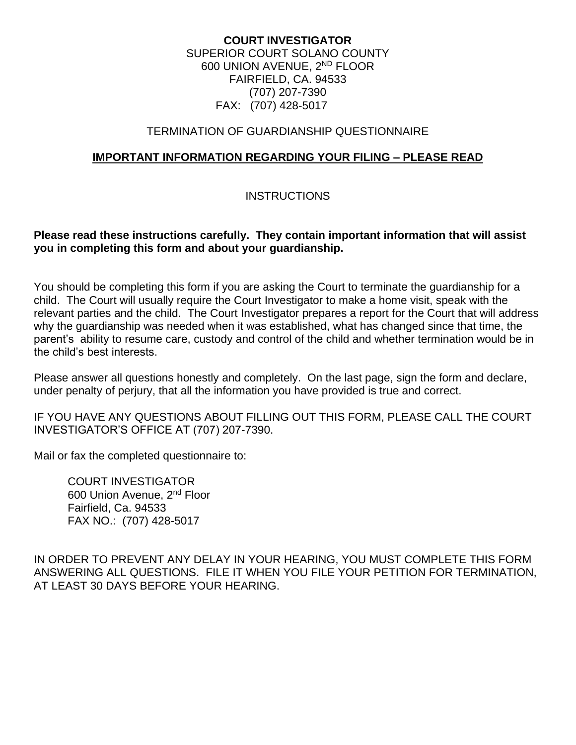#### **COURT INVESTIGATOR** SUPERIOR COURT SOLANO COUNTY 600 UNION AVENUE, 2ND FLOOR FAIRFIELD, CA. 94533 (707) 207-7390 FAX: (707) 428-5017

#### TERMINATION OF GUARDIANSHIP QUESTIONNAIRE

#### **IMPORTANT INFORMATION REGARDING YOUR FILING – PLEASE READ**

#### **INSTRUCTIONS**

#### **Please read these instructions carefully. They contain important information that will assist you in completing this form and about your guardianship.**

You should be completing this form if you are asking the Court to terminate the guardianship for a child. The Court will usually require the Court Investigator to make a home visit, speak with the relevant parties and the child. The Court Investigator prepares a report for the Court that will address why the guardianship was needed when it was established, what has changed since that time, the parent's ability to resume care, custody and control of the child and whether termination would be in the child's best interests.

Please answer all questions honestly and completely. On the last page, sign the form and declare, under penalty of perjury, that all the information you have provided is true and correct.

IF YOU HAVE ANY QUESTIONS ABOUT FILLING OUT THIS FORM, PLEASE CALL THE COURT INVESTIGATOR'S OFFICE AT (707) 207-7390.

Mail or fax the completed questionnaire to:

COURT INVESTIGATOR 600 Union Avenue, 2nd Floor Fairfield, Ca. 94533 FAX NO.: (707) 428-5017

IN ORDER TO PREVENT ANY DELAY IN YOUR HEARING, YOU MUST COMPLETE THIS FORM ANSWERING ALL QUESTIONS. FILE IT WHEN YOU FILE YOUR PETITION FOR TERMINATION, AT LEAST 30 DAYS BEFORE YOUR HEARING.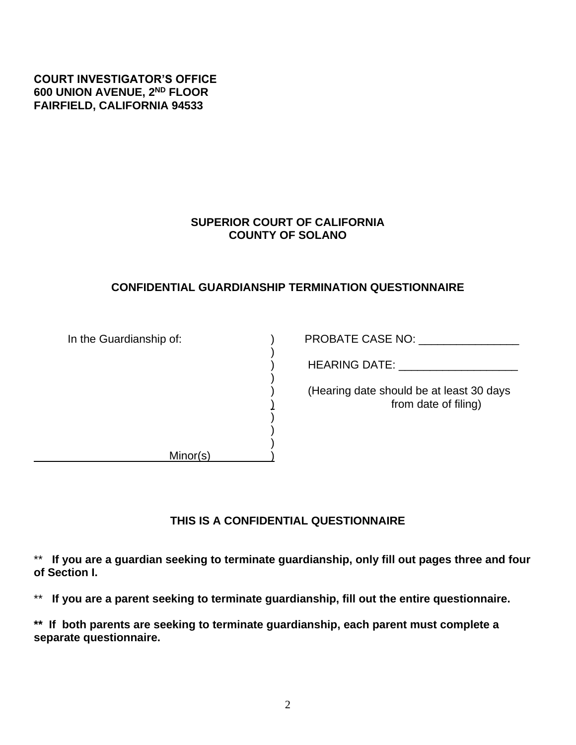## **COURT INVESTIGATOR'S OFFICE 600 UNION AVENUE, 2ND FLOOR FAIRFIELD, CALIFORNIA 94533**

## **SUPERIOR COURT OF CALIFORNIA COUNTY OF SOLANO**

#### **CONFIDENTIAL GUARDIANSHIP TERMINATION QUESTIONNAIRE**

| In the Guardianship of: | PROBATE CASE NO:                                                 |
|-------------------------|------------------------------------------------------------------|
|                         | <b>HEARING DATE:</b>                                             |
|                         | (Hearing date should be at least 30 days<br>from date of filing) |
|                         |                                                                  |
| Minor(s)                |                                                                  |

## **THIS IS A CONFIDENTIAL QUESTIONNAIRE**

\*\* **If you are a guardian seeking to terminate guardianship, only fill out pages three and four of Section I.** 

\*\* **If you are a parent seeking to terminate guardianship, fill out the entire questionnaire.** 

**\*\* If both parents are seeking to terminate guardianship, each parent must complete a separate questionnaire.**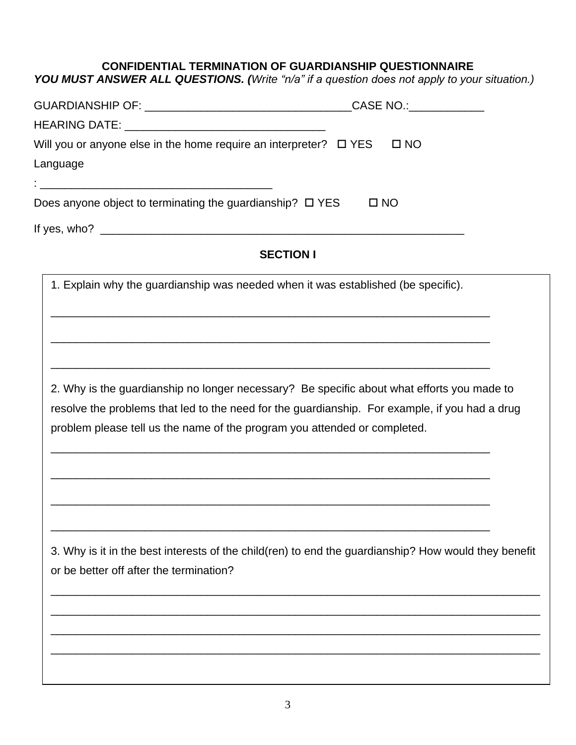#### **CONFIDENTIAL TERMINATION OF GUARDIANSHIP QUESTIONNAIRE**

*YOU MUST ANSWER ALL QUESTIONS. (Write "n/a" if a question does not apply to your situation.)*

|                                                                                   | CASE NO.: ______________ |
|-----------------------------------------------------------------------------------|--------------------------|
|                                                                                   |                          |
| Will you or anyone else in the home require an interpreter? $\Box$ YES            | $\square$ NO             |
| Language                                                                          |                          |
| <u> 1980 - Johann Stein, marwolaethau a bhann an t-</u>                           |                          |
| Does anyone object to terminating the guardianship? $\square$ YES                 | $\square$ NO             |
| If yes, who? $\qquad \qquad$                                                      |                          |
| <b>SECTION I</b>                                                                  |                          |
| 1. Explain why the guardianship was needed when it was established (be specific). |                          |

\_\_\_\_\_\_\_\_\_\_\_\_\_\_\_\_\_\_\_\_\_\_\_\_\_\_\_\_\_\_\_\_\_\_\_\_\_\_\_\_\_\_\_\_\_\_\_\_\_\_\_\_\_\_\_\_\_\_\_\_\_\_\_\_\_\_\_\_\_\_

\_\_\_\_\_\_\_\_\_\_\_\_\_\_\_\_\_\_\_\_\_\_\_\_\_\_\_\_\_\_\_\_\_\_\_\_\_\_\_\_\_\_\_\_\_\_\_\_\_\_\_\_\_\_\_\_\_\_\_\_\_\_\_\_\_\_\_\_\_\_

\_\_\_\_\_\_\_\_\_\_\_\_\_\_\_\_\_\_\_\_\_\_\_\_\_\_\_\_\_\_\_\_\_\_\_\_\_\_\_\_\_\_\_\_\_\_\_\_\_\_\_\_\_\_\_\_\_\_\_\_\_\_\_\_\_\_\_\_\_\_

\_\_\_\_\_\_\_\_\_\_\_\_\_\_\_\_\_\_\_\_\_\_\_\_\_\_\_\_\_\_\_\_\_\_\_\_\_\_\_\_\_\_\_\_\_\_\_\_\_\_\_\_\_\_\_\_\_\_\_\_\_\_\_\_\_\_\_\_\_\_

\_\_\_\_\_\_\_\_\_\_\_\_\_\_\_\_\_\_\_\_\_\_\_\_\_\_\_\_\_\_\_\_\_\_\_\_\_\_\_\_\_\_\_\_\_\_\_\_\_\_\_\_\_\_\_\_\_\_\_\_\_\_\_\_\_\_\_\_\_\_

\_\_\_\_\_\_\_\_\_\_\_\_\_\_\_\_\_\_\_\_\_\_\_\_\_\_\_\_\_\_\_\_\_\_\_\_\_\_\_\_\_\_\_\_\_\_\_\_\_\_\_\_\_\_\_\_\_\_\_\_\_\_\_\_\_\_\_\_\_\_

\_\_\_\_\_\_\_\_\_\_\_\_\_\_\_\_\_\_\_\_\_\_\_\_\_\_\_\_\_\_\_\_\_\_\_\_\_\_\_\_\_\_\_\_\_\_\_\_\_\_\_\_\_\_\_\_\_\_\_\_\_\_\_\_\_\_\_\_\_\_

2. Why is the guardianship no longer necessary? Be specific about what efforts you made to resolve the problems that led to the need for the guardianship. For example, if you had a drug problem please tell us the name of the program you attended or completed.

3. Why is it in the best interests of the child(ren) to end the guardianship? How would they benefit or be better off after the termination?

\_\_\_\_\_\_\_\_\_\_\_\_\_\_\_\_\_\_\_\_\_\_\_\_\_\_\_\_\_\_\_\_\_\_\_\_\_\_\_\_\_\_\_\_\_\_\_\_\_\_\_\_\_\_\_\_\_\_\_\_\_\_\_\_\_\_\_\_\_\_\_\_\_\_\_\_\_\_

\_\_\_\_\_\_\_\_\_\_\_\_\_\_\_\_\_\_\_\_\_\_\_\_\_\_\_\_\_\_\_\_\_\_\_\_\_\_\_\_\_\_\_\_\_\_\_\_\_\_\_\_\_\_\_\_\_\_\_\_\_\_\_\_\_\_\_\_\_\_\_\_\_\_\_\_\_\_

\_\_\_\_\_\_\_\_\_\_\_\_\_\_\_\_\_\_\_\_\_\_\_\_\_\_\_\_\_\_\_\_\_\_\_\_\_\_\_\_\_\_\_\_\_\_\_\_\_\_\_\_\_\_\_\_\_\_\_\_\_\_\_\_\_\_\_\_\_\_\_\_\_\_\_\_\_\_

\_\_\_\_\_\_\_\_\_\_\_\_\_\_\_\_\_\_\_\_\_\_\_\_\_\_\_\_\_\_\_\_\_\_\_\_\_\_\_\_\_\_\_\_\_\_\_\_\_\_\_\_\_\_\_\_\_\_\_\_\_\_\_\_\_\_\_\_\_\_\_\_\_\_\_\_\_\_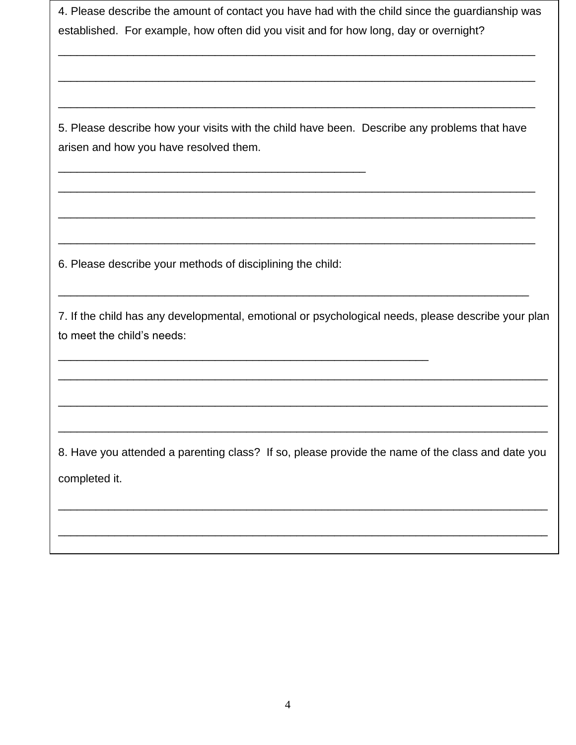4. Please describe the amount of contact you have had with the child since the guardianship was established. For example, how often did you visit and for how long, day or overnight?

\_\_\_\_\_\_\_\_\_\_\_\_\_\_\_\_\_\_\_\_\_\_\_\_\_\_\_\_\_\_\_\_\_\_\_\_\_\_\_\_\_\_\_\_\_\_\_\_\_\_\_\_\_\_\_\_\_\_\_\_\_\_\_\_\_\_\_\_\_\_\_\_\_\_\_\_

\_\_\_\_\_\_\_\_\_\_\_\_\_\_\_\_\_\_\_\_\_\_\_\_\_\_\_\_\_\_\_\_\_\_\_\_\_\_\_\_\_\_\_\_\_\_\_\_\_\_\_\_\_\_\_\_\_\_\_\_\_\_\_\_\_\_\_\_\_\_\_\_\_\_\_\_

\_\_\_\_\_\_\_\_\_\_\_\_\_\_\_\_\_\_\_\_\_\_\_\_\_\_\_\_\_\_\_\_\_\_\_\_\_\_\_\_\_\_\_\_\_\_\_\_\_\_\_\_\_\_\_\_\_\_\_\_\_\_\_\_\_\_\_\_\_\_\_\_\_\_\_\_

5. Please describe how your visits with the child have been. Describe any problems that have arisen and how you have resolved them.

\_\_\_\_\_\_\_\_\_\_\_\_\_\_\_\_\_\_\_\_\_\_\_\_\_\_\_\_\_\_\_\_\_\_\_\_\_\_\_\_\_\_\_\_\_\_\_\_\_\_\_\_\_\_\_\_\_\_\_\_\_\_\_\_\_\_\_\_\_\_\_\_\_\_\_\_

\_\_\_\_\_\_\_\_\_\_\_\_\_\_\_\_\_\_\_\_\_\_\_\_\_\_\_\_\_\_\_\_\_\_\_\_\_\_\_\_\_\_\_\_\_\_\_\_\_\_\_\_\_\_\_\_\_\_\_\_\_\_\_\_\_\_\_\_\_\_\_\_\_\_\_\_

\_\_\_\_\_\_\_\_\_\_\_\_\_\_\_\_\_\_\_\_\_\_\_\_\_\_\_\_\_\_\_\_\_\_\_\_\_\_\_\_\_\_\_\_\_\_\_\_\_\_\_\_\_\_\_\_\_\_\_\_\_\_\_\_\_\_\_\_\_\_\_\_\_\_\_\_

\_\_\_\_\_\_\_\_\_\_\_\_\_\_\_\_\_\_\_\_\_\_\_\_\_\_\_\_\_\_\_\_\_\_\_\_\_\_\_\_\_\_\_\_\_\_\_\_\_\_\_\_\_\_\_\_\_\_\_\_\_\_\_\_\_\_\_\_\_\_\_\_\_\_\_

6. Please describe your methods of disciplining the child:

\_\_\_\_\_\_\_\_\_\_\_\_\_\_\_\_\_\_\_\_\_\_\_\_\_\_\_\_\_\_\_\_\_\_\_\_\_\_\_\_\_\_\_\_\_\_\_\_\_\_\_\_\_\_\_\_\_\_\_

\_\_\_\_\_\_\_\_\_\_\_\_\_\_\_\_\_\_\_\_\_\_\_\_\_\_\_\_\_\_\_\_\_\_\_\_\_\_\_\_\_\_\_\_\_\_\_\_\_

7. If the child has any developmental, emotional or psychological needs, please describe your plan to meet the child's needs:

\_\_\_\_\_\_\_\_\_\_\_\_\_\_\_\_\_\_\_\_\_\_\_\_\_\_\_\_\_\_\_\_\_\_\_\_\_\_\_\_\_\_\_\_\_\_\_\_\_\_\_\_\_\_\_\_\_\_\_\_\_\_\_\_\_\_\_\_\_\_\_\_\_\_\_\_\_\_

\_\_\_\_\_\_\_\_\_\_\_\_\_\_\_\_\_\_\_\_\_\_\_\_\_\_\_\_\_\_\_\_\_\_\_\_\_\_\_\_\_\_\_\_\_\_\_\_\_\_\_\_\_\_\_\_\_\_\_\_\_\_\_\_\_\_\_\_\_\_\_\_\_\_\_\_\_\_

\_\_\_\_\_\_\_\_\_\_\_\_\_\_\_\_\_\_\_\_\_\_\_\_\_\_\_\_\_\_\_\_\_\_\_\_\_\_\_\_\_\_\_\_\_\_\_\_\_\_\_\_\_\_\_\_\_\_\_\_\_\_\_\_\_\_\_\_\_\_\_\_\_\_\_\_\_\_

8. Have you attended a parenting class? If so, please provide the name of the class and date you completed it.

\_\_\_\_\_\_\_\_\_\_\_\_\_\_\_\_\_\_\_\_\_\_\_\_\_\_\_\_\_\_\_\_\_\_\_\_\_\_\_\_\_\_\_\_\_\_\_\_\_\_\_\_\_\_\_\_\_\_\_\_\_\_\_\_\_\_\_\_\_\_\_\_\_\_\_\_\_\_

\_\_\_\_\_\_\_\_\_\_\_\_\_\_\_\_\_\_\_\_\_\_\_\_\_\_\_\_\_\_\_\_\_\_\_\_\_\_\_\_\_\_\_\_\_\_\_\_\_\_\_\_\_\_\_\_\_\_\_\_\_\_\_\_\_\_\_\_\_\_\_\_\_\_\_\_\_\_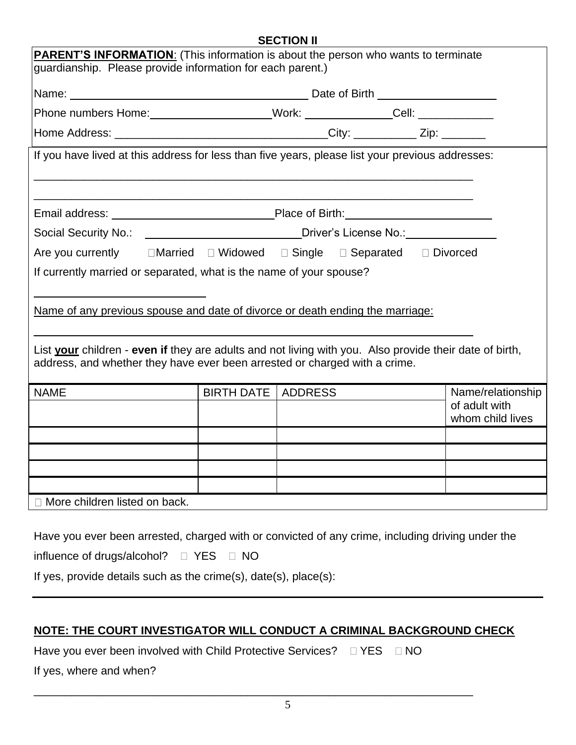## **SECTION II**

|                                                                                                                                                         |                             | SECTION II |  |  |                                    |
|---------------------------------------------------------------------------------------------------------------------------------------------------------|-----------------------------|------------|--|--|------------------------------------|
| <b>PARENT'S INFORMATION:</b> (This information is about the person who wants to terminate<br>guardianship. Please provide information for each parent.) |                             |            |  |  |                                    |
|                                                                                                                                                         |                             |            |  |  |                                    |
|                                                                                                                                                         |                             |            |  |  |                                    |
|                                                                                                                                                         |                             |            |  |  |                                    |
|                                                                                                                                                         |                             |            |  |  |                                    |
| If you have lived at this address for less than five years, please list your previous addresses:                                                        |                             |            |  |  |                                    |
|                                                                                                                                                         |                             |            |  |  |                                    |
|                                                                                                                                                         |                             |            |  |  |                                    |
|                                                                                                                                                         |                             |            |  |  |                                    |
| Social Security No.: ____________________________Driver's License No.: __________                                                                       |                             |            |  |  |                                    |
| Are you currently IMarried I Widowed I Single I Separated I Divorced                                                                                    |                             |            |  |  |                                    |
| If currently married or separated, what is the name of your spouse?                                                                                     |                             |            |  |  |                                    |
|                                                                                                                                                         |                             |            |  |  |                                    |
| Name of any previous spouse and date of divorce or death ending the marriage:                                                                           |                             |            |  |  |                                    |
|                                                                                                                                                         |                             |            |  |  |                                    |
| List your children - even if they are adults and not living with you. Also provide their date of birth,                                                 |                             |            |  |  |                                    |
| address, and whether they have ever been arrested or charged with a crime.                                                                              |                             |            |  |  |                                    |
|                                                                                                                                                         |                             |            |  |  |                                    |
| <b>NAME</b>                                                                                                                                             | <b>BIRTH DATE   ADDRESS</b> |            |  |  | Name/relationship<br>of adult with |
|                                                                                                                                                         |                             |            |  |  | whom child lives                   |
|                                                                                                                                                         |                             |            |  |  |                                    |
|                                                                                                                                                         |                             |            |  |  |                                    |
|                                                                                                                                                         |                             |            |  |  |                                    |
|                                                                                                                                                         |                             |            |  |  |                                    |
| □ More children listed on back.                                                                                                                         |                             |            |  |  |                                    |
| Have you ever been arrested, charged with or convicted of any crime, including driving under the                                                        |                             |            |  |  |                                    |
| influence of drugs/alcohol?                                                                                                                             | D YES<br>$\Box$ NO          |            |  |  |                                    |

If yes, provide details such as the crime(s), date(s), place(s):

# **NOTE: THE COURT INVESTIGATOR WILL CONDUCT A CRIMINAL BACKGROUND CHECK**

\_\_\_\_\_\_\_\_\_\_\_\_\_\_\_\_\_\_\_\_\_\_\_\_\_\_\_\_\_\_\_\_\_\_\_\_\_\_\_\_\_\_\_\_\_\_\_\_\_\_\_\_\_\_\_\_\_\_\_\_\_\_\_\_\_\_\_\_\_\_

Have you ever been involved with Child Protective Services?  $\Box$  YES  $\Box$  NO

If yes, where and when?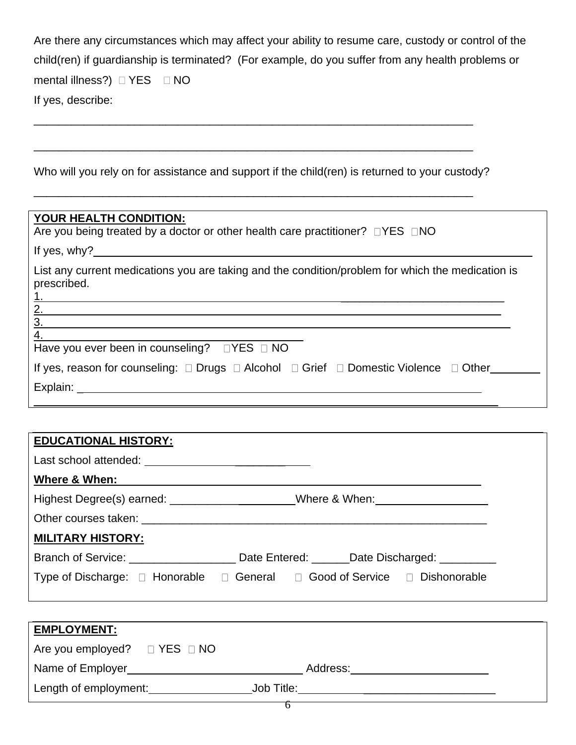| Are there any circumstances which may affect your ability to resume care, custody or control of the |
|-----------------------------------------------------------------------------------------------------|
| child(ren) if quardianship is terminated? (For example, do you suffer from any health problems or   |
| mental illness?) $\Box$ YES $\Box$ NO                                                               |
| If yes, describe:                                                                                   |

Who will you rely on for assistance and support if the child(ren) is returned to your custody?

\_\_\_\_\_\_\_\_\_\_\_\_\_\_\_\_\_\_\_\_\_\_\_\_\_\_\_\_\_\_\_\_\_\_\_\_\_\_\_\_\_\_\_\_\_\_\_\_\_\_\_\_\_\_\_\_\_\_\_\_\_\_\_\_\_\_\_\_\_\_

\_\_\_\_\_\_\_\_\_\_\_\_\_\_\_\_\_\_\_\_\_\_\_\_\_\_\_\_\_\_\_\_\_\_\_\_\_\_\_\_\_\_\_\_\_\_\_\_\_\_\_\_\_\_\_\_\_\_\_\_\_\_\_\_\_\_\_\_\_\_

\_\_\_\_\_\_\_\_\_\_\_\_\_\_\_\_\_\_\_\_\_\_\_\_\_\_\_\_\_\_\_\_\_\_\_\_\_\_\_\_\_\_\_\_\_\_\_\_\_\_\_\_\_\_\_\_\_\_\_\_\_\_\_\_\_\_\_\_\_\_

| YOUR HEALTH CONDITION:<br>Are you being treated by a doctor or other health care practitioner? $\Box$ YES $\Box$ NO                                                                                                            |
|--------------------------------------------------------------------------------------------------------------------------------------------------------------------------------------------------------------------------------|
| If yes, $why$ ?                                                                                                                                                                                                                |
| List any current medications you are taking and the condition/problem for which the medication is<br>prescribed.<br>$\frac{1}{2.}$<br>3.                                                                                       |
| Have you ever been in counseling? JYES JNO<br>If yes, reason for counseling: □ Drugs □ Alcohol □ Grief □ Domestic Violence □ Other______                                                                                       |
| Explain: Explaint and the state of the state of the state of the state of the state of the state of the state of the state of the state of the state of the state of the state of the state of the state of the state of the s |

| <b>EDUCATIONAL HISTORY:</b> |                                                                                                                                                                                                                                |
|-----------------------------|--------------------------------------------------------------------------------------------------------------------------------------------------------------------------------------------------------------------------------|
|                             |                                                                                                                                                                                                                                |
| Where & When:               |                                                                                                                                                                                                                                |
|                             | Highest Degree(s) earned: ____________________Where & When: ____________________                                                                                                                                               |
|                             | Other courses taken: Letter and the state of the state of the state of the state of the state of the state of the state of the state of the state of the state of the state of the state of the state of the state of the stat |
| <b>MILITARY HISTORY:</b>    |                                                                                                                                                                                                                                |
|                             | Branch of Service: <u>Date Entered:</u> Date Entered: Date Discharged:                                                                                                                                                         |
|                             | Type of Discharge: □ Honorable □ General □ Good of Service □ Dishonorable                                                                                                                                                      |
|                             |                                                                                                                                                                                                                                |

| <b>EMPLOYMENT:</b>                     |            |  |
|----------------------------------------|------------|--|
| Are you employed? $\Box$ YES $\Box$ NO |            |  |
| Name of Employer                       | Address:   |  |
| Length of employment:                  | Job Title: |  |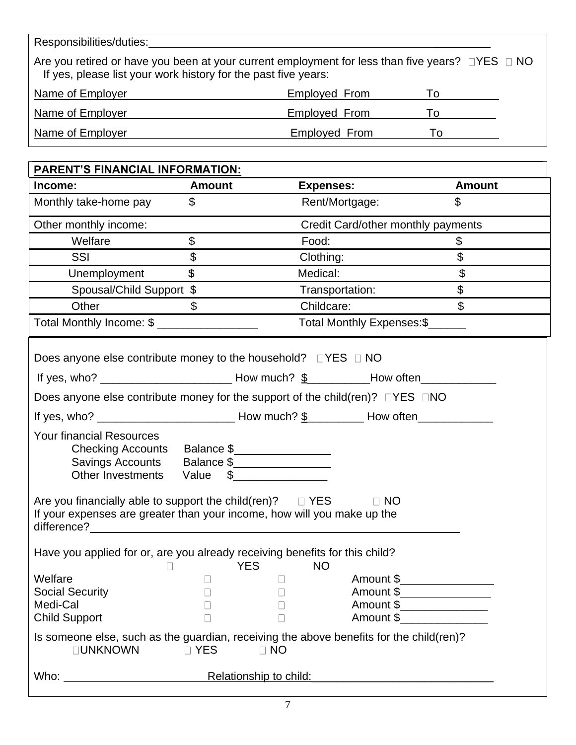Responsibilities/duties:

Are you retired or have you been at your current employment for less than five years?  $\Box$  YES  $\Box$  NO If yes, please list your work history for the past five years:

| Name of Employer | Employed From        |  |
|------------------|----------------------|--|
| Name of Employer | <b>Employed From</b> |  |
| Name of Employer | <b>Employed From</b> |  |

|                                                                                                                                                                                                                                                                               | <b>Amount</b>             | <b>Expenses:</b> |                                    | <b>Amount</b>  |
|-------------------------------------------------------------------------------------------------------------------------------------------------------------------------------------------------------------------------------------------------------------------------------|---------------------------|------------------|------------------------------------|----------------|
| Monthly take-home pay                                                                                                                                                                                                                                                         | $\mathbb{S}$              | Rent/Mortgage:   |                                    | \$             |
| Other monthly income:                                                                                                                                                                                                                                                         |                           |                  | Credit Card/other monthly payments |                |
| Welfare                                                                                                                                                                                                                                                                       | $\boldsymbol{\mathsf{S}}$ | Food:            |                                    | \$             |
| SSI                                                                                                                                                                                                                                                                           | $\mathfrak{L}$            | Clothing:        |                                    | $\mathbb S$    |
| Unemployment                                                                                                                                                                                                                                                                  | $\mathfrak{S}$            | Medical:         |                                    | $\mathfrak{S}$ |
| Spousal/Child Support \$                                                                                                                                                                                                                                                      |                           |                  | Transportation:                    | \$             |
| Other                                                                                                                                                                                                                                                                         | $\mathfrak{L}$            | Childcare:       |                                    | $\mathbb S$    |
| Total Monthly Income: \$ __________________                                                                                                                                                                                                                                   |                           |                  | Total Monthly Expenses: \$         |                |
| Does anyone else contribute money to the household?<br><u> </u><br><u> </u><br><br>DYES<br><br><br><u> </u>                                                                                                                                                                   |                           |                  |                                    |                |
|                                                                                                                                                                                                                                                                               |                           |                  |                                    |                |
| Does anyone else contribute money for the support of the child(ren)? $\Box$ YES $\Box$ NO                                                                                                                                                                                     |                           |                  |                                    |                |
|                                                                                                                                                                                                                                                                               |                           |                  |                                    |                |
| <b>Your financial Resources</b><br>Checking Accounts Balance \$<br>Savings Accounts  Balance \$<br>Other Investments Value \$<br>Are you financially able to support the child(ren)? $\square$ YES<br>If your expenses are greater than your income, how will you make up the |                           |                  | $\Box$ NO                          |                |
| difference?                                                                                                                                                                                                                                                                   |                           |                  |                                    |                |
| Have you applied for or, are you already receiving benefits for this child?<br>$\Box$                                                                                                                                                                                         | <b>YES</b>                | <b>NO</b>        |                                    |                |
| Welfare                                                                                                                                                                                                                                                                       | $\Box$                    | $\Box$           | Amount \$                          |                |
| <b>Social Security</b>                                                                                                                                                                                                                                                        |                           | $\Box$           |                                    |                |
| Medi-Cal                                                                                                                                                                                                                                                                      |                           |                  | Amount \$_________________         |                |
|                                                                                                                                                                                                                                                                               |                           | $\Box$           | Amount \$                          |                |
| <b>Child Support</b>                                                                                                                                                                                                                                                          |                           |                  |                                    |                |
| Is someone else, such as the guardian, receiving the above benefits for the child(ren)?<br><b>OUNKNOWN</b>                                                                                                                                                                    | <b>D</b> YES              | $\Box$ NO        |                                    |                |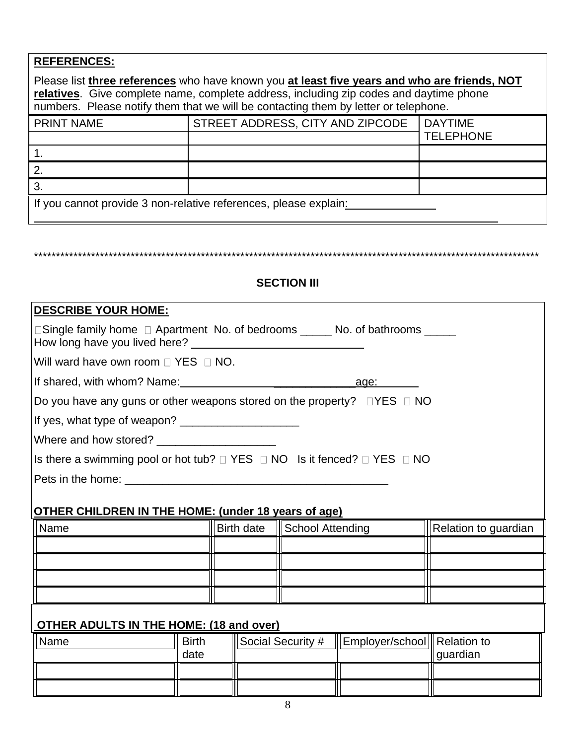| <b>REFERENCES:</b>                                                                                                                                                                                                                                                            |                                  |                  |  |  |  |
|-------------------------------------------------------------------------------------------------------------------------------------------------------------------------------------------------------------------------------------------------------------------------------|----------------------------------|------------------|--|--|--|
| Please list three references who have known you at least five years and who are friends, NOT<br>relatives. Give complete name, complete address, including zip codes and daytime phone<br>numbers. Please notify them that we will be contacting them by letter or telephone. |                                  |                  |  |  |  |
| <b>PRINT NAME</b>                                                                                                                                                                                                                                                             | STREET ADDRESS, CITY AND ZIPCODE | <b>DAYTIME</b>   |  |  |  |
|                                                                                                                                                                                                                                                                               |                                  | <b>TELEPHONE</b> |  |  |  |
|                                                                                                                                                                                                                                                                               |                                  |                  |  |  |  |
| 2.                                                                                                                                                                                                                                                                            |                                  |                  |  |  |  |
| 3.                                                                                                                                                                                                                                                                            |                                  |                  |  |  |  |
| If you cannot provide 3 non-relative references, please explain:                                                                                                                                                                                                              |                                  |                  |  |  |  |

# **SECTION III**

\*\*\*\*\*\*\*\*\*\*\*\*\*\*\*\*\*\*\*\*\*\*\*\*\*\*\*\*\*\*\*\*\*\*\*\*\*\*\*\*\*\*\*\*\*\*\*\*\*\*\*\*\*\*\*\*\*\*\*\*\*\*\*\*\*\*\*\*\*\*\*\*\*\*\*\*\*\*\*\*\*\*\*\*\*\*\*\*\*\*\*\*\*\*\*\*\*\*\*\*\*\*\*\*\*\*\*\*\*\*\*\*\*\*\*

| <b>DESCRIBE YOUR HOME:</b><br>□Single family home □ Apartment No. of bedrooms ______ No. of bathrooms ______                                                                                                                         |              |  |                               |                                                   |                               |
|--------------------------------------------------------------------------------------------------------------------------------------------------------------------------------------------------------------------------------------|--------------|--|-------------------------------|---------------------------------------------------|-------------------------------|
|                                                                                                                                                                                                                                      |              |  |                               |                                                   |                               |
| Will ward have own room $\Box$ YES $\Box$ NO.                                                                                                                                                                                        |              |  |                               |                                                   |                               |
|                                                                                                                                                                                                                                      |              |  |                               |                                                   |                               |
| Do you have any guns or other weapons stored on the property? $\Box$ YES $\Box$ NO                                                                                                                                                   |              |  |                               |                                                   |                               |
|                                                                                                                                                                                                                                      |              |  |                               |                                                   |                               |
|                                                                                                                                                                                                                                      |              |  |                               |                                                   |                               |
| Is there a swimming pool or hot tub? $\Box$ YES $\Box$ NO Is it fenced? $\Box$ YES $\Box$ NO                                                                                                                                         |              |  |                               |                                                   |                               |
| Pets in the home: <u>contract the set of the set of the set of the set of the set of the set of the set of the set of the set of the set of the set of the set of the set of the set of the set of the set of the set of the set</u> |              |  |                               |                                                   |                               |
|                                                                                                                                                                                                                                      |              |  |                               |                                                   |                               |
| <b>OTHER CHILDREN IN THE HOME: (under 18 years of age)</b>                                                                                                                                                                           |              |  |                               |                                                   |                               |
| <b>Name</b>                                                                                                                                                                                                                          |              |  | Birth date   School Attending |                                                   | <b>S</b> Relation to guardian |
|                                                                                                                                                                                                                                      |              |  |                               |                                                   |                               |
|                                                                                                                                                                                                                                      |              |  |                               |                                                   |                               |
|                                                                                                                                                                                                                                      |              |  |                               |                                                   |                               |
|                                                                                                                                                                                                                                      |              |  |                               |                                                   |                               |
| <b>OTHER ADULTS IN THE HOME: (18 and over)</b>                                                                                                                                                                                       |              |  |                               |                                                   |                               |
| Name                                                                                                                                                                                                                                 | <b>Birth</b> |  |                               | Social Security #   Employer/school   Relation to |                               |
|                                                                                                                                                                                                                                      | date         |  |                               |                                                   | guardian                      |
|                                                                                                                                                                                                                                      |              |  |                               |                                                   |                               |
|                                                                                                                                                                                                                                      |              |  |                               |                                                   |                               |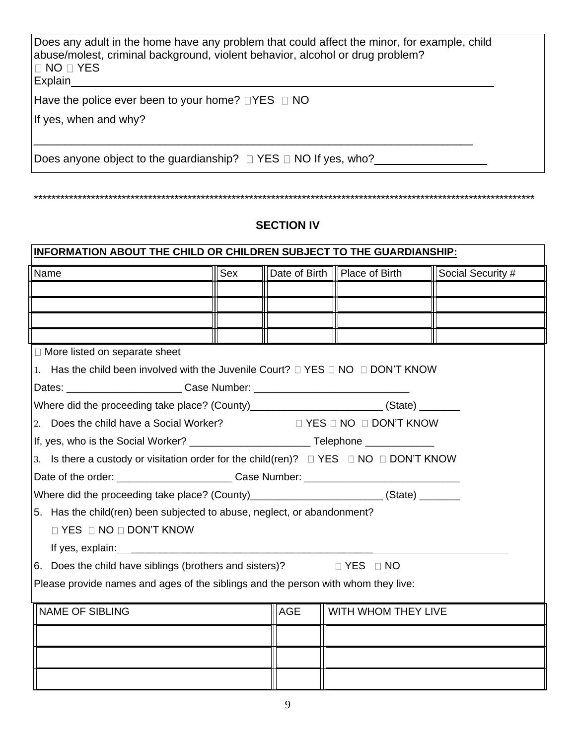| Does any adult in the home have any problem that could affect the minor, for example, child<br>abuse/molest, criminal background, violent behavior, alcohol or drug problem?<br>I □ NO □ YES<br>Explain |  |
|---------------------------------------------------------------------------------------------------------------------------------------------------------------------------------------------------------|--|
| Have the police ever been to your home? $\Box$ YES $\Box$ NO<br>If yes, when and why?                                                                                                                   |  |
| Does anyone object to the guardianship? $\Box$ YES $\Box$ NO If yes, who?                                                                                                                               |  |

# **SECTION IV**

\*\*\*\*\*\*\*\*\*\*\*\*\*\*\*\*\*\*\*\*\*\*\*\*\*\*\*\*\*\*\*\*\*\*\*\*\*\*\*\*\*\*\*\*\*\*\*\*\*\*\*\*\*\*\*\*\*\*\*\*\*\*\*\*\*\*\*\*\*\*\*\*\*\*\*\*\*\*\*\*\*\*\*\*\*\*\*\*\*\*\*\*\*\*\*\*\*\*\*\*\*\*\*\*\*\*\*\*\*\*\*\*\*\*

| INFORMATION ABOUT THE CHILD OR CHILDREN SUBJECT TO THE GUARDIANSHIP:                                 |     |            |                                 |                   |  |
|------------------------------------------------------------------------------------------------------|-----|------------|---------------------------------|-------------------|--|
| Name                                                                                                 | Sex |            | Date of Birth    Place of Birth | Social Security # |  |
|                                                                                                      |     |            |                                 |                   |  |
|                                                                                                      |     |            |                                 |                   |  |
|                                                                                                      |     |            |                                 |                   |  |
|                                                                                                      |     |            |                                 |                   |  |
| □ More listed on separate sheet                                                                      |     |            |                                 |                   |  |
| 1. Has the child been involved with the Juvenile Court? $\Box$ YES $\Box$ NO $\Box$ DON'T KNOW       |     |            |                                 |                   |  |
| Dates: _______________________________Case Number: _____________________________                     |     |            |                                 |                   |  |
| Where did the proceeding take place? (County)_________________________(State) _______                |     |            |                                 |                   |  |
| 2. Does the child have a Social Worker?<br>$\Box$ YES $\Box$ NO $\Box$ DON'T KNOW                    |     |            |                                 |                   |  |
| If, yes, who is the Social Worker? _________________________________Telephone ______________________ |     |            |                                 |                   |  |
| 3. Is there a custody or visitation order for the child(ren)? $\Box$ YES $\Box$ NO $\Box$ DON'T KNOW |     |            |                                 |                   |  |
|                                                                                                      |     |            |                                 |                   |  |
| Where did the proceeding take place? (County)_________________________(State) _______                |     |            |                                 |                   |  |
| 5. Has the child(ren) been subjected to abuse, neglect, or abandonment?                              |     |            |                                 |                   |  |
| <b>DYES DNO DON'T KNOW</b>                                                                           |     |            |                                 |                   |  |
|                                                                                                      |     |            |                                 |                   |  |
| 6. Does the child have siblings (brothers and sisters)? $\square$ YES $\square$ NO                   |     |            |                                 |                   |  |
| Please provide names and ages of the siblings and the person with whom they live:                    |     |            |                                 |                   |  |
|                                                                                                      |     |            |                                 |                   |  |
| <b>NAME OF SIBLING</b>                                                                               |     | <b>AGE</b> | WITH WHOM THEY LIVE             |                   |  |
|                                                                                                      |     |            |                                 |                   |  |
|                                                                                                      |     |            |                                 |                   |  |
|                                                                                                      |     |            |                                 |                   |  |
|                                                                                                      |     |            |                                 |                   |  |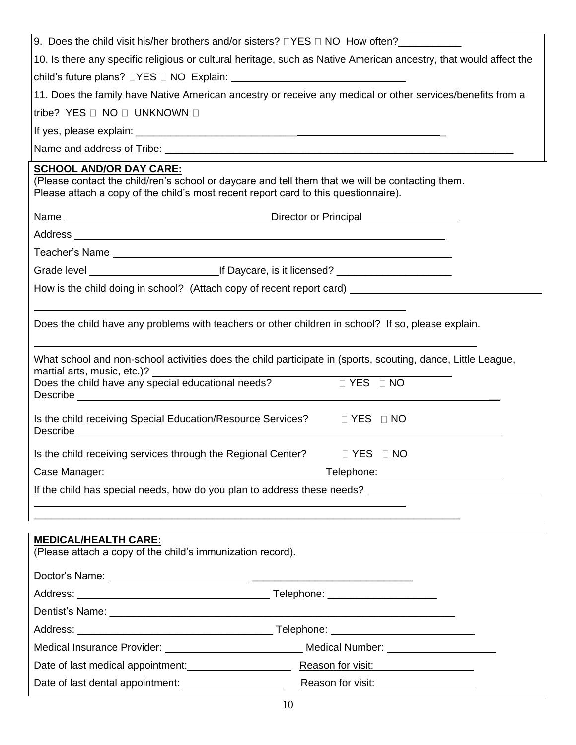| 9. Does the child visit his/her brothers and/or sisters? $\Box$ YES $\Box$ NO How often?                                                                                                                                             |  |  |  |  |  |  |
|--------------------------------------------------------------------------------------------------------------------------------------------------------------------------------------------------------------------------------------|--|--|--|--|--|--|
| 10. Is there any specific religious or cultural heritage, such as Native American ancestry, that would affect the                                                                                                                    |  |  |  |  |  |  |
|                                                                                                                                                                                                                                      |  |  |  |  |  |  |
| 11. Does the family have Native American ancestry or receive any medical or other services/benefits from a                                                                                                                           |  |  |  |  |  |  |
| tribe? YES □ NO □ UNKNOWN □                                                                                                                                                                                                          |  |  |  |  |  |  |
|                                                                                                                                                                                                                                      |  |  |  |  |  |  |
|                                                                                                                                                                                                                                      |  |  |  |  |  |  |
| <b>SCHOOL AND/OR DAY CARE:</b><br>(Please contact the child/ren's school or daycare and tell them that we will be contacting them.<br>Please attach a copy of the child's most recent report card to this questionnaire).            |  |  |  |  |  |  |
|                                                                                                                                                                                                                                      |  |  |  |  |  |  |
|                                                                                                                                                                                                                                      |  |  |  |  |  |  |
| Teacher's Name <b>contract the contract of the contract of the contract of the contract of the contract of the contract of the contract of the contract of the contract of the contract of the contract of the contract of the c</b> |  |  |  |  |  |  |
|                                                                                                                                                                                                                                      |  |  |  |  |  |  |
| How is the child doing in school? (Attach copy of recent report card) ______________________________                                                                                                                                 |  |  |  |  |  |  |
| Does the child have any problems with teachers or other children in school? If so, please explain.                                                                                                                                   |  |  |  |  |  |  |
| What school and non-school activities does the child participate in (sports, scouting, dance, Little League,<br>martial arts, music, etc.)? _____<br><u> 1980 - Andrea Andrew Maria (h. 1980).</u>                                   |  |  |  |  |  |  |
| Does the child have any special educational needs? $\Box$ YES $\Box$ NO                                                                                                                                                              |  |  |  |  |  |  |
| Is the child receiving Special Education/Resource Services?  I YES  I NO                                                                                                                                                             |  |  |  |  |  |  |
| Is the child receiving services through the Regional Center? □ YES □ NO                                                                                                                                                              |  |  |  |  |  |  |
| Case Manager:<br>Telephone: Telephone:                                                                                                                                                                                               |  |  |  |  |  |  |
|                                                                                                                                                                                                                                      |  |  |  |  |  |  |
|                                                                                                                                                                                                                                      |  |  |  |  |  |  |
| <b>MEDICAL/HEALTH CARE:</b><br>(Please attach a copy of the child's immunization record).                                                                                                                                            |  |  |  |  |  |  |
|                                                                                                                                                                                                                                      |  |  |  |  |  |  |
|                                                                                                                                                                                                                                      |  |  |  |  |  |  |
|                                                                                                                                                                                                                                      |  |  |  |  |  |  |
|                                                                                                                                                                                                                                      |  |  |  |  |  |  |
| Medical Insurance Provider: ___________________________________ Medical Number:<br>Date of last medical appointment: Reason for visit:                                                                                               |  |  |  |  |  |  |
| Date of last dental appointment: <u>container and a</u><br>Reason for visit:<br><u>Reason for visit:</u>                                                                                                                             |  |  |  |  |  |  |
|                                                                                                                                                                                                                                      |  |  |  |  |  |  |